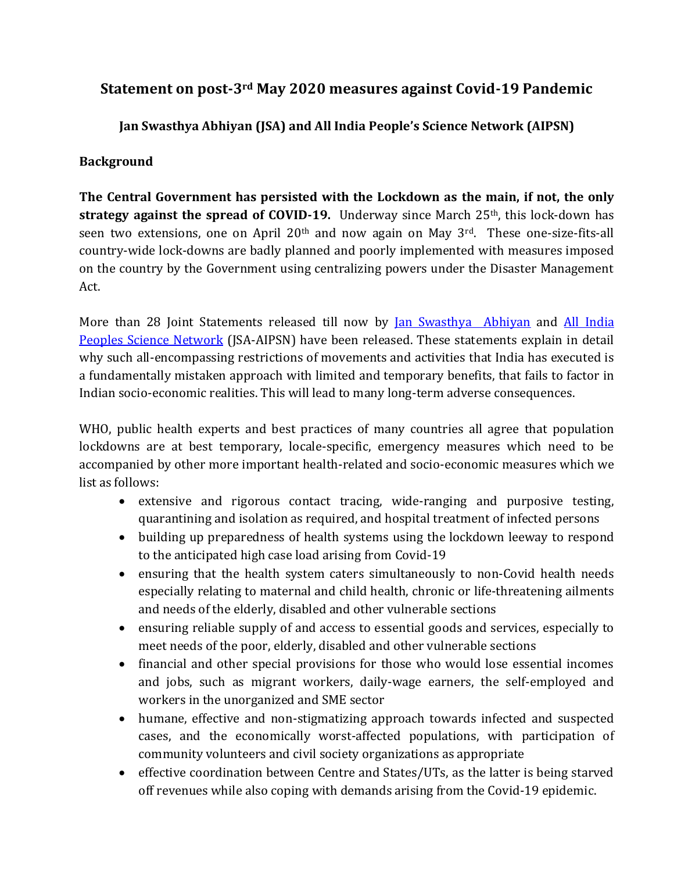## **Statement on post-3rd May 2020 measures against Covid-19 Pandemic**

**Jan Swasthya Abhiyan (JSA) and All India People's Science Network (AIPSN)**

## **Background**

**The Central Government has persisted with the Lockdown as the main, if not, the only strategy against the spread of COVID-19.** Underway since March 25<sup>th</sup>, this lock-down has seen two extensions, one on April 20<sup>th</sup> and now again on May 3<sup>rd</sup>. These one-size-fits-all country-wide lock-downs are badly planned and poorly implemented with measures imposed on the country by the Government using centralizing powers under the Disaster Management Act.

More than 28 Joint Statements released till now by [Jan Swasthya Abhiyan](http://phmindia.org/) and [All India](https://aipsn.net/)  [Peoples Science Network](https://aipsn.net/) (JSA-AIPSN) have been released. These statements explain in detail why such all-encompassing restrictions of movements and activities that India has executed is a fundamentally mistaken approach with limited and temporary benefits, that fails to factor in Indian socio-economic realities. This will lead to many long-term adverse consequences.

WHO, public health experts and best practices of many countries all agree that population lockdowns are at best temporary, locale-specific, emergency measures which need to be accompanied by other more important health-related and socio-economic measures which we list as follows:

- extensive and rigorous contact tracing, wide-ranging and purposive testing, quarantining and isolation as required, and hospital treatment of infected persons
- building up preparedness of health systems using the lockdown leeway to respond to the anticipated high case load arising from Covid-19
- ensuring that the health system caters simultaneously to non-Covid health needs especially relating to maternal and child health, chronic or life-threatening ailments and needs of the elderly, disabled and other vulnerable sections
- ensuring reliable supply of and access to essential goods and services, especially to meet needs of the poor, elderly, disabled and other vulnerable sections
- financial and other special provisions for those who would lose essential incomes and jobs, such as migrant workers, daily-wage earners, the self-employed and workers in the unorganized and SME sector
- humane, effective and non-stigmatizing approach towards infected and suspected cases, and the economically worst-affected populations, with participation of community volunteers and civil society organizations as appropriate
- effective coordination between Centre and States/UTs, as the latter is being starved off revenues while also coping with demands arising from the Covid-19 epidemic.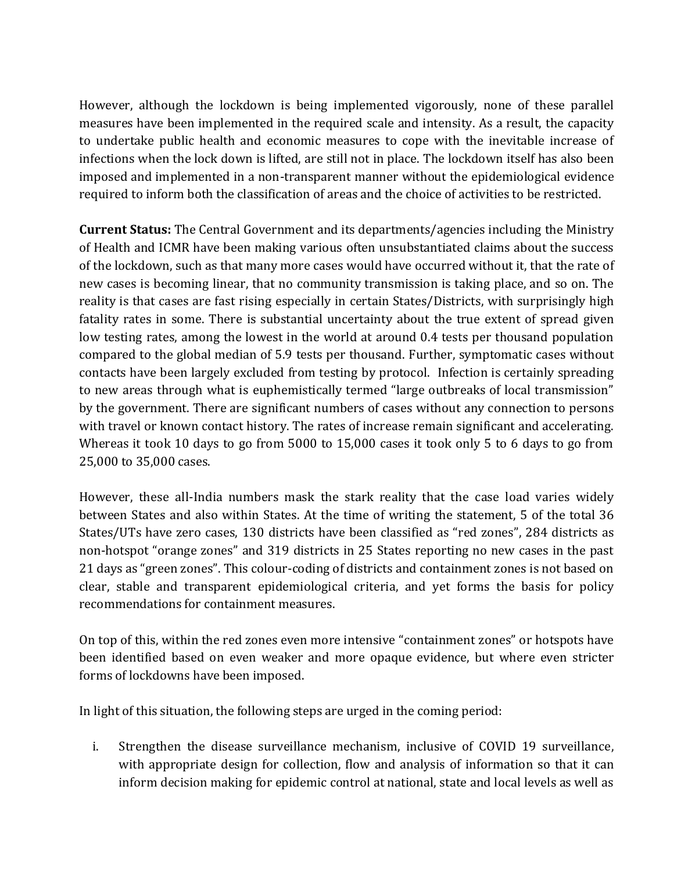However, although the lockdown is being implemented vigorously, none of these parallel measures have been implemented in the required scale and intensity. As a result, the capacity to undertake public health and economic measures to cope with the inevitable increase of infections when the lock down is lifted, are still not in place. The lockdown itself has also been imposed and implemented in a non-transparent manner without the epidemiological evidence required to inform both the classification of areas and the choice of activities to be restricted.

**Current Status:** The Central Government and its departments/agencies including the Ministry of Health and ICMR have been making various often unsubstantiated claims about the success of the lockdown, such as that many more cases would have occurred without it, that the rate of new cases is becoming linear, that no community transmission is taking place, and so on. The reality is that cases are fast rising especially in certain States/Districts, with surprisingly high fatality rates in some. There is substantial uncertainty about the true extent of spread given low testing rates, among the lowest in the world at around 0.4 tests per thousand population compared to the global median of 5.9 tests per thousand. Further, symptomatic cases without contacts have been largely excluded from testing by protocol. Infection is certainly spreading to new areas through what is euphemistically termed "large outbreaks of local transmission" by the government. There are significant numbers of cases without any connection to persons with travel or known contact history. The rates of increase remain significant and accelerating. Whereas it took 10 days to go from 5000 to 15,000 cases it took only 5 to 6 days to go from 25,000 to 35,000 cases.

However, these all-India numbers mask the stark reality that the case load varies widely between States and also within States. At the time of writing the statement, 5 of the total 36 States/UTs have zero cases, 130 districts have been classified as "red zones", 284 districts as non-hotspot "orange zones" and 319 districts in 25 States reporting no new cases in the past 21 days as "green zones". This colour-coding of districts and containment zones is not based on clear, stable and transparent epidemiological criteria, and yet forms the basis for policy recommendations for containment measures.

On top of this, within the red zones even more intensive "containment zones" or hotspots have been identified based on even weaker and more opaque evidence, but where even stricter forms of lockdowns have been imposed.

In light of this situation, the following steps are urged in the coming period:

i. Strengthen the disease surveillance mechanism, inclusive of COVID 19 surveillance, with appropriate design for collection, flow and analysis of information so that it can inform decision making for epidemic control at national, state and local levels as well as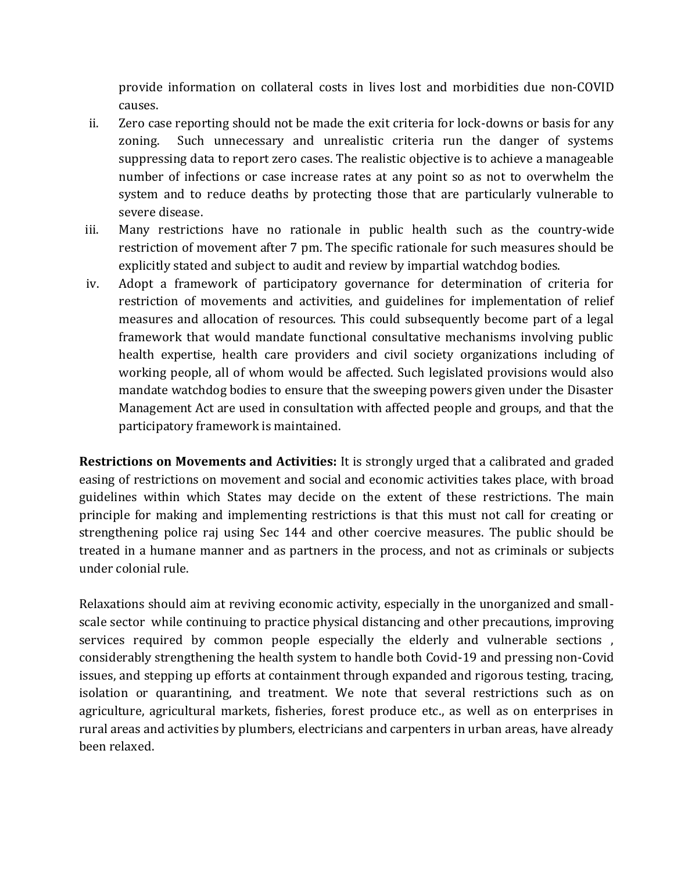provide information on collateral costs in lives lost and morbidities due non-COVID causes.

- ii. Zero case reporting should not be made the exit criteria for lock-downs or basis for any zoning. Such unnecessary and unrealistic criteria run the danger of systems suppressing data to report zero cases. The realistic objective is to achieve a manageable number of infections or case increase rates at any point so as not to overwhelm the system and to reduce deaths by protecting those that are particularly vulnerable to severe disease.
- iii. Many restrictions have no rationale in public health such as the country-wide restriction of movement after 7 pm. The specific rationale for such measures should be explicitly stated and subject to audit and review by impartial watchdog bodies.
- iv. Adopt a framework of participatory governance for determination of criteria for restriction of movements and activities, and guidelines for implementation of relief measures and allocation of resources. This could subsequently become part of a legal framework that would mandate functional consultative mechanisms involving public health expertise, health care providers and civil society organizations including of working people, all of whom would be affected. Such legislated provisions would also mandate watchdog bodies to ensure that the sweeping powers given under the Disaster Management Act are used in consultation with affected people and groups, and that the participatory framework is maintained.

**Restrictions on Movements and Activities:** It is strongly urged that a calibrated and graded easing of restrictions on movement and social and economic activities takes place, with broad guidelines within which States may decide on the extent of these restrictions. The main principle for making and implementing restrictions is that this must not call for creating or strengthening police raj using Sec 144 and other coercive measures. The public should be treated in a humane manner and as partners in the process, and not as criminals or subjects under colonial rule.

Relaxations should aim at reviving economic activity, especially in the unorganized and smallscale sector while continuing to practice physical distancing and other precautions, improving services required by common people especially the elderly and vulnerable sections, considerably strengthening the health system to handle both Covid-19 and pressing non-Covid issues, and stepping up efforts at containment through expanded and rigorous testing, tracing, isolation or quarantining, and treatment. We note that several restrictions such as on agriculture, agricultural markets, fisheries, forest produce etc., as well as on enterprises in rural areas and activities by plumbers, electricians and carpenters in urban areas, have already been relaxed.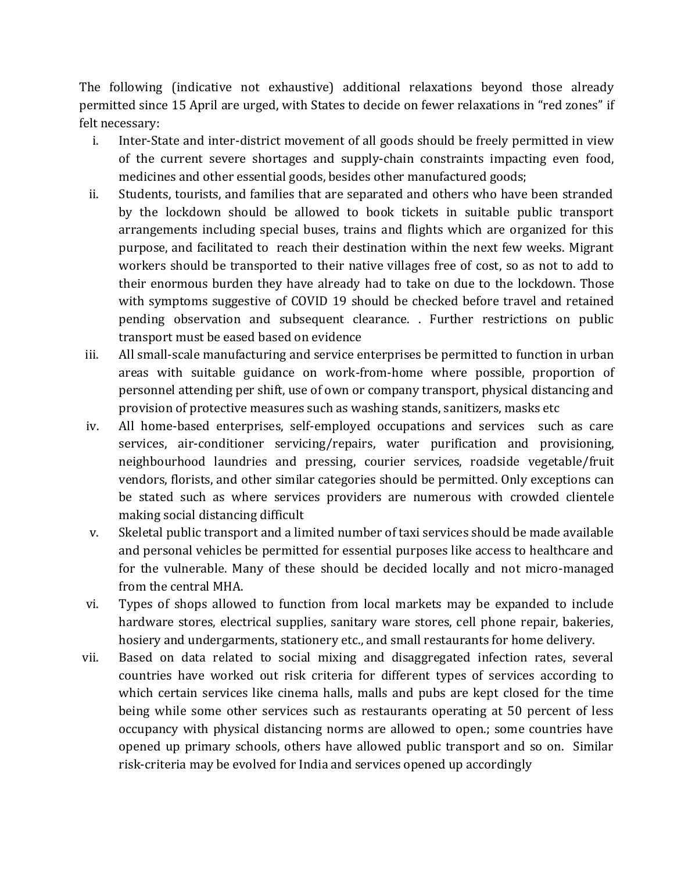The following (indicative not exhaustive) additional relaxations beyond those already permitted since 15 April are urged, with States to decide on fewer relaxations in "red zones" if felt necessary:

- i. Inter-State and inter-district movement of all goods should be freely permitted in view of the current severe shortages and supply-chain constraints impacting even food, medicines and other essential goods, besides other manufactured goods;
- ii. Students, tourists, and families that are separated and others who have been stranded by the lockdown should be allowed to book tickets in suitable public transport arrangements including special buses, trains and flights which are organized for this purpose, and facilitated to reach their destination within the next few weeks. Migrant workers should be transported to their native villages free of cost, so as not to add to their enormous burden they have already had to take on due to the lockdown. Those with symptoms suggestive of COVID 19 should be checked before travel and retained pending observation and subsequent clearance. . Further restrictions on public transport must be eased based on evidence
- iii. All small-scale manufacturing and service enterprises be permitted to function in urban areas with suitable guidance on work-from-home where possible, proportion of personnel attending per shift, use of own or company transport, physical distancing and provision of protective measures such as washing stands, sanitizers, masks etc
- iv. All home-based enterprises, self-employed occupations and services such as care services, air-conditioner servicing/repairs, water purification and provisioning, neighbourhood laundries and pressing, courier services, roadside vegetable/fruit vendors, florists, and other similar categories should be permitted. Only exceptions can be stated such as where services providers are numerous with crowded clientele making social distancing difficult
- v. Skeletal public transport and a limited number of taxi services should be made available and personal vehicles be permitted for essential purposes like access to healthcare and for the vulnerable. Many of these should be decided locally and not micro-managed from the central MHA.
- vi. Types of shops allowed to function from local markets may be expanded to include hardware stores, electrical supplies, sanitary ware stores, cell phone repair, bakeries, hosiery and undergarments, stationery etc., and small restaurants for home delivery.
- vii. Based on data related to social mixing and disaggregated infection rates, several countries have worked out risk criteria for different types of services according to which certain services like cinema halls, malls and pubs are kept closed for the time being while some other services such as restaurants operating at 50 percent of less occupancy with physical distancing norms are allowed to open.; some countries have opened up primary schools, others have allowed public transport and so on. Similar risk-criteria may be evolved for India and services opened up accordingly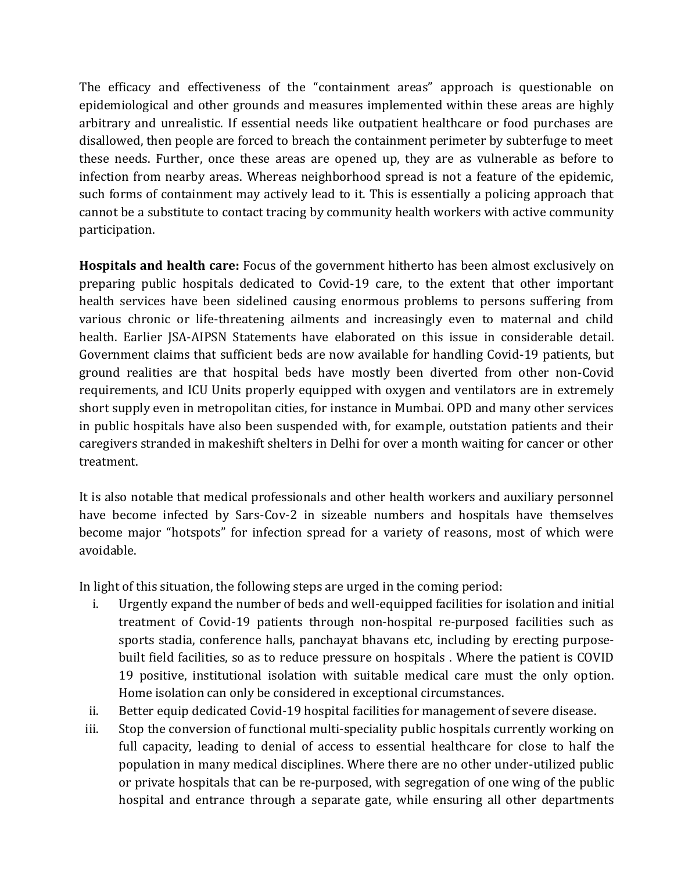The efficacy and effectiveness of the "containment areas" approach is questionable on epidemiological and other grounds and measures implemented within these areas are highly arbitrary and unrealistic. If essential needs like outpatient healthcare or food purchases are disallowed, then people are forced to breach the containment perimeter by subterfuge to meet these needs. Further, once these areas are opened up, they are as vulnerable as before to infection from nearby areas. Whereas neighborhood spread is not a feature of the epidemic, such forms of containment may actively lead to it. This is essentially a policing approach that cannot be a substitute to contact tracing by community health workers with active community participation.

**Hospitals and health care:** Focus of the government hitherto has been almost exclusively on preparing public hospitals dedicated to Covid-19 care, to the extent that other important health services have been sidelined causing enormous problems to persons suffering from various chronic or life-threatening ailments and increasingly even to maternal and child health. Earlier JSA-AIPSN Statements have elaborated on this issue in considerable detail. Government claims that sufficient beds are now available for handling Covid-19 patients, but ground realities are that hospital beds have mostly been diverted from other non-Covid requirements, and ICU Units properly equipped with oxygen and ventilators are in extremely short supply even in metropolitan cities, for instance in Mumbai. OPD and many other services in public hospitals have also been suspended with, for example, outstation patients and their caregivers stranded in makeshift shelters in Delhi for over a month waiting for cancer or other treatment.

It is also notable that medical professionals and other health workers and auxiliary personnel have become infected by Sars-Cov-2 in sizeable numbers and hospitals have themselves become major "hotspots" for infection spread for a variety of reasons, most of which were avoidable.

In light of this situation, the following steps are urged in the coming period:

- i. Urgently expand the number of beds and well-equipped facilities for isolation and initial treatment of Covid-19 patients through non-hospital re-purposed facilities such as sports stadia, conference halls, panchayat bhavans etc, including by erecting purposebuilt field facilities, so as to reduce pressure on hospitals . Where the patient is COVID 19 positive, institutional isolation with suitable medical care must the only option. Home isolation can only be considered in exceptional circumstances.
- ii. Better equip dedicated Covid-19 hospital facilities for management of severe disease.
- iii. Stop the conversion of functional multi-speciality public hospitals currently working on full capacity, leading to denial of access to essential healthcare for close to half the population in many medical disciplines. Where there are no other under-utilized public or private hospitals that can be re-purposed, with segregation of one wing of the public hospital and entrance through a separate gate, while ensuring all other departments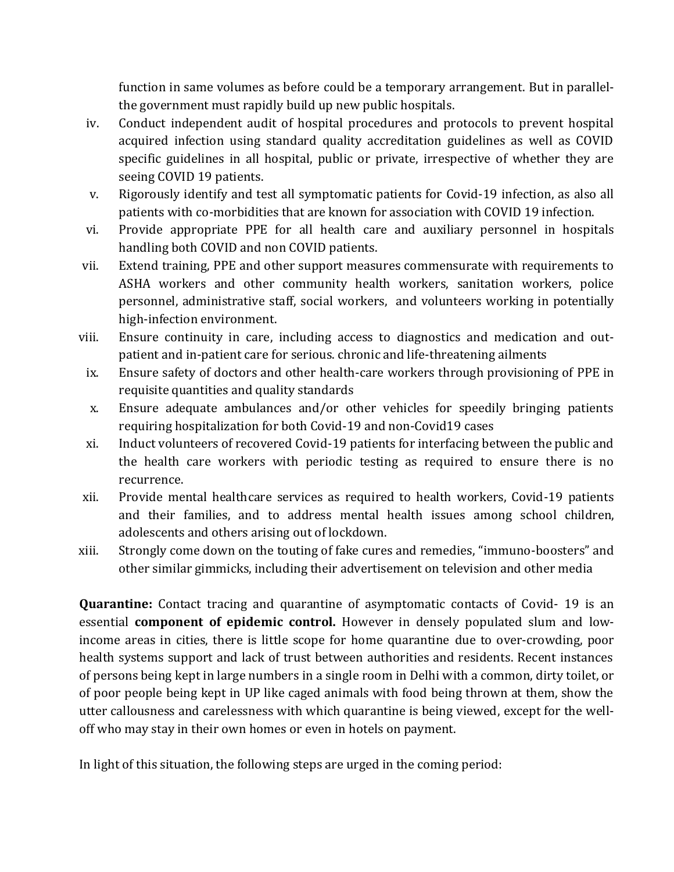function in same volumes as before could be a temporary arrangement. But in parallelthe government must rapidly build up new public hospitals.

- iv. Conduct independent audit of hospital procedures and protocols to prevent hospital acquired infection using standard quality accreditation guidelines as well as COVID specific guidelines in all hospital, public or private, irrespective of whether they are seeing COVID 19 patients.
- v. Rigorously identify and test all symptomatic patients for Covid-19 infection, as also all patients with co-morbidities that are known for association with COVID 19 infection.
- vi. Provide appropriate PPE for all health care and auxiliary personnel in hospitals handling both COVID and non COVID patients.
- vii. Extend training, PPE and other support measures commensurate with requirements to ASHA workers and other community health workers, sanitation workers, police personnel, administrative staff, social workers, and volunteers working in potentially high-infection environment.
- viii. Ensure continuity in care, including access to diagnostics and medication and outpatient and in-patient care for serious. chronic and life-threatening ailments
- ix. Ensure safety of doctors and other health-care workers through provisioning of PPE in requisite quantities and quality standards
- x. Ensure adequate ambulances and/or other vehicles for speedily bringing patients requiring hospitalization for both Covid-19 and non-Covid19 cases
- xi. Induct volunteers of recovered Covid-19 patients for interfacing between the public and the health care workers with periodic testing as required to ensure there is no recurrence.
- xii. Provide mental healthcare services as required to health workers, Covid-19 patients and their families, and to address mental health issues among school children, adolescents and others arising out of lockdown.
- xiii. Strongly come down on the touting of fake cures and remedies, "immuno-boosters" and other similar gimmicks, including their advertisement on television and other media

**Quarantine:** Contact tracing and quarantine of asymptomatic contacts of Covid- 19 is an essential **component of epidemic control.** However in densely populated slum and lowincome areas in cities, there is little scope for home quarantine due to over-crowding, poor health systems support and lack of trust between authorities and residents. Recent instances of persons being kept in large numbers in a single room in Delhi with a common, dirty toilet, or of poor people being kept in UP like caged animals with food being thrown at them, show the utter callousness and carelessness with which quarantine is being viewed, except for the welloff who may stay in their own homes or even in hotels on payment.

In light of this situation, the following steps are urged in the coming period: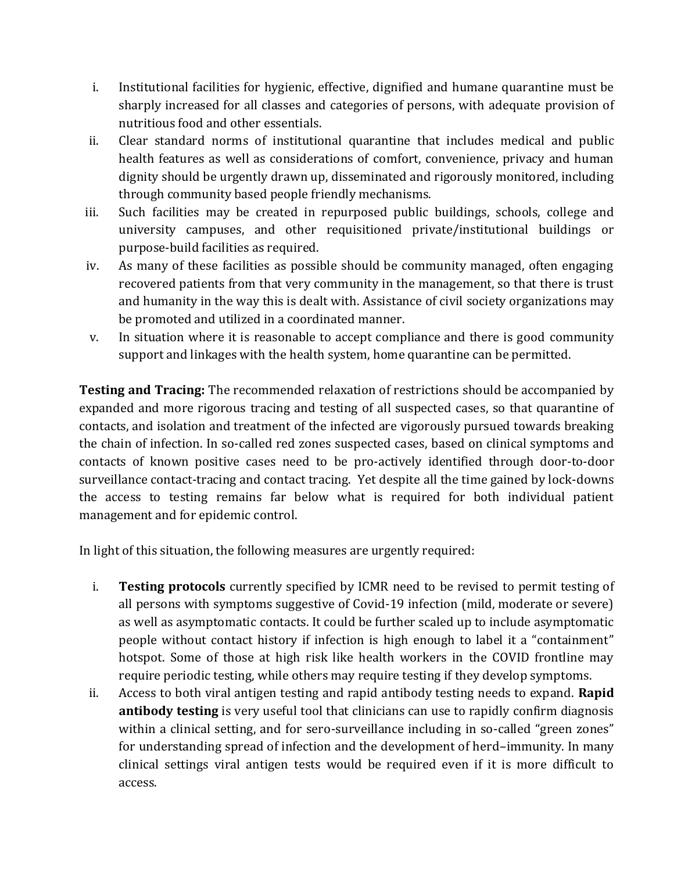- i. Institutional facilities for hygienic, effective, dignified and humane quarantine must be sharply increased for all classes and categories of persons, with adequate provision of nutritious food and other essentials.
- ii. Clear standard norms of institutional quarantine that includes medical and public health features as well as considerations of comfort, convenience, privacy and human dignity should be urgently drawn up, disseminated and rigorously monitored, including through community based people friendly mechanisms.
- iii. Such facilities may be created in repurposed public buildings, schools, college and university campuses, and other requisitioned private/institutional buildings or purpose-build facilities as required.
- iv. As many of these facilities as possible should be community managed, often engaging recovered patients from that very community in the management, so that there is trust and humanity in the way this is dealt with. Assistance of civil society organizations may be promoted and utilized in a coordinated manner.
- v. In situation where it is reasonable to accept compliance and there is good community support and linkages with the health system, home quarantine can be permitted.

**Testing and Tracing:** The recommended relaxation of restrictions should be accompanied by expanded and more rigorous tracing and testing of all suspected cases, so that quarantine of contacts, and isolation and treatment of the infected are vigorously pursued towards breaking the chain of infection. In so-called red zones suspected cases, based on clinical symptoms and contacts of known positive cases need to be pro-actively identified through door-to-door surveillance contact-tracing and contact tracing. Yet despite all the time gained by lock-downs the access to testing remains far below what is required for both individual patient management and for epidemic control.

In light of this situation, the following measures are urgently required:

- i. **Testing protocols** currently specified by ICMR need to be revised to permit testing of all persons with symptoms suggestive of Covid-19 infection (mild, moderate or severe) as well as asymptomatic contacts. It could be further scaled up to include asymptomatic people without contact history if infection is high enough to label it a "containment" hotspot. Some of those at high risk like health workers in the COVID frontline may require periodic testing, while others may require testing if they develop symptoms.
- ii. Access to both viral antigen testing and rapid antibody testing needs to expand. **Rapid antibody testing** is very useful tool that clinicians can use to rapidly confirm diagnosis within a clinical setting, and for sero-surveillance including in so-called "green zones" for understanding spread of infection and the development of herd–immunity. In many clinical settings viral antigen tests would be required even if it is more difficult to access.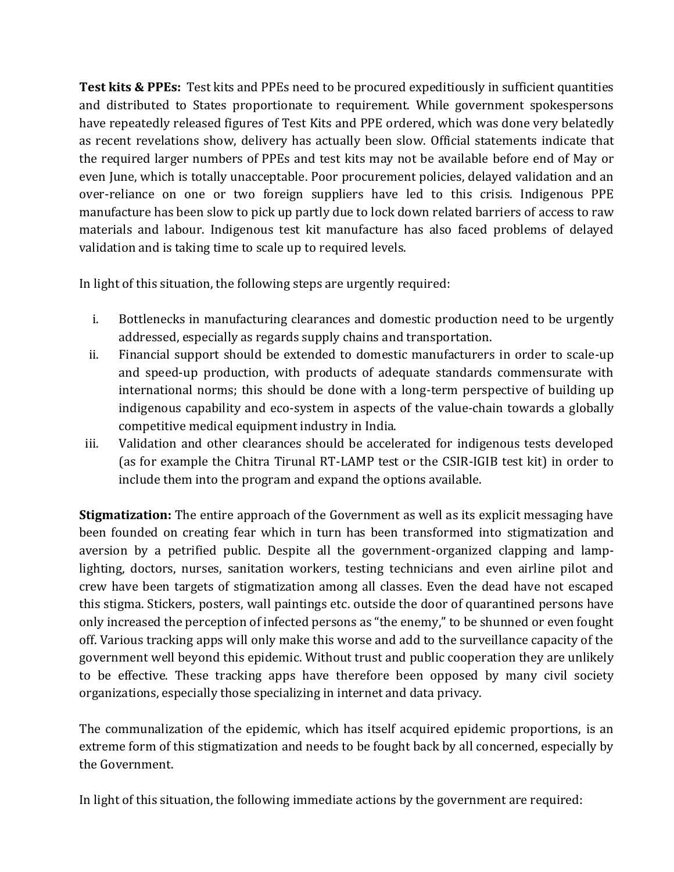**Test kits & PPEs:** Test kits and PPEs need to be procured expeditiously in sufficient quantities and distributed to States proportionate to requirement. While government spokespersons have repeatedly released figures of Test Kits and PPE ordered, which was done very belatedly as recent revelations show, delivery has actually been slow. Official statements indicate that the required larger numbers of PPEs and test kits may not be available before end of May or even June, which is totally unacceptable. Poor procurement policies, delayed validation and an over-reliance on one or two foreign suppliers have led to this crisis. Indigenous PPE manufacture has been slow to pick up partly due to lock down related barriers of access to raw materials and labour. Indigenous test kit manufacture has also faced problems of delayed validation and is taking time to scale up to required levels.

In light of this situation, the following steps are urgently required:

- i. Bottlenecks in manufacturing clearances and domestic production need to be urgently addressed, especially as regards supply chains and transportation.
- ii. Financial support should be extended to domestic manufacturers in order to scale-up and speed-up production, with products of adequate standards commensurate with international norms; this should be done with a long-term perspective of building up indigenous capability and eco-system in aspects of the value-chain towards a globally competitive medical equipment industry in India.
- iii. Validation and other clearances should be accelerated for indigenous tests developed (as for example the Chitra Tirunal RT-LAMP test or the CSIR-IGIB test kit) in order to include them into the program and expand the options available.

**Stigmatization:** The entire approach of the Government as well as its explicit messaging have been founded on creating fear which in turn has been transformed into stigmatization and aversion by a petrified public. Despite all the government-organized clapping and lamplighting, doctors, nurses, sanitation workers, testing technicians and even airline pilot and crew have been targets of stigmatization among all classes. Even the dead have not escaped this stigma. Stickers, posters, wall paintings etc. outside the door of quarantined persons have only increased the perception of infected persons as "the enemy," to be shunned or even fought off. Various tracking apps will only make this worse and add to the surveillance capacity of the government well beyond this epidemic. Without trust and public cooperation they are unlikely to be effective. These tracking apps have therefore been opposed by many civil society organizations, especially those specializing in internet and data privacy.

The communalization of the epidemic, which has itself acquired epidemic proportions, is an extreme form of this stigmatization and needs to be fought back by all concerned, especially by the Government.

In light of this situation, the following immediate actions by the government are required: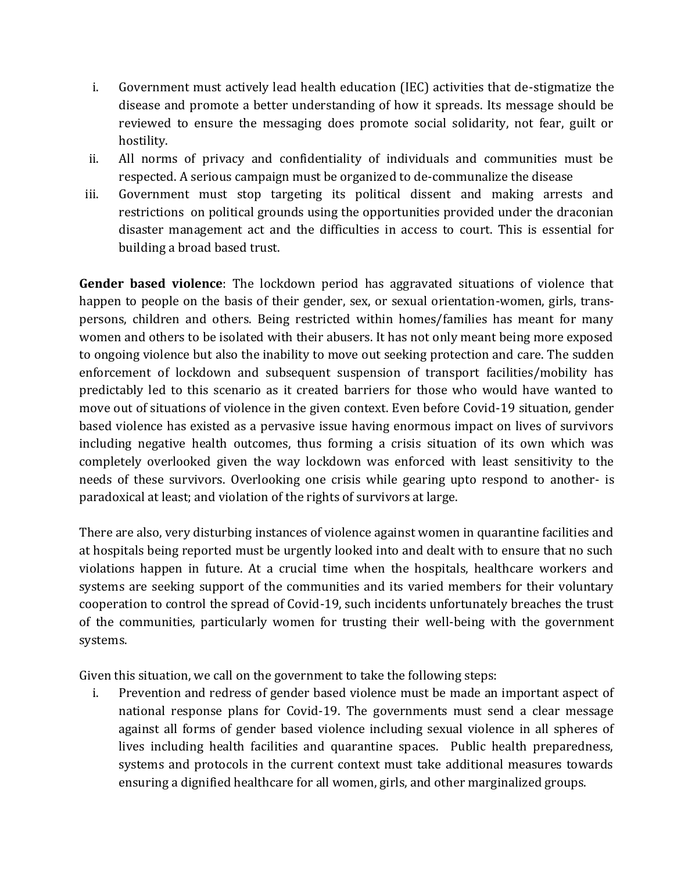- i. Government must actively lead health education (IEC) activities that de-stigmatize the disease and promote a better understanding of how it spreads. Its message should be reviewed to ensure the messaging does promote social solidarity, not fear, guilt or hostility.
- ii. All norms of privacy and confidentiality of individuals and communities must be respected. A serious campaign must be organized to de-communalize the disease
- iii. Government must stop targeting its political dissent and making arrests and restrictions on political grounds using the opportunities provided under the draconian disaster management act and the difficulties in access to court. This is essential for building a broad based trust.

**Gender based violence**: The lockdown period has aggravated situations of violence that happen to people on the basis of their gender, sex, or sexual orientation-women, girls, transpersons, children and others. Being restricted within homes/families has meant for many women and others to be isolated with their abusers. It has not only meant being more exposed to ongoing violence but also the inability to move out seeking protection and care. The sudden enforcement of lockdown and subsequent suspension of transport facilities/mobility has predictably led to this scenario as it created barriers for those who would have wanted to move out of situations of violence in the given context. Even before Covid-19 situation, gender based violence has existed as a pervasive issue having enormous impact on lives of survivors including negative health outcomes, thus forming a crisis situation of its own which was completely overlooked given the way lockdown was enforced with least sensitivity to the needs of these survivors. Overlooking one crisis while gearing upto respond to another- is paradoxical at least; and violation of the rights of survivors at large.

There are also, very disturbing instances of violence against women in quarantine facilities and at hospitals being reported must be urgently looked into and dealt with to ensure that no such violations happen in future. At a crucial time when the hospitals, healthcare workers and systems are seeking support of the communities and its varied members for their voluntary cooperation to control the spread of Covid-19, such incidents unfortunately breaches the trust of the communities, particularly women for trusting their well-being with the government systems.

Given this situation, we call on the government to take the following steps:

i. Prevention and redress of gender based violence must be made an important aspect of national response plans for Covid-19. The governments must send a clear message against all forms of gender based violence including sexual violence in all spheres of lives including health facilities and quarantine spaces. Public health preparedness, systems and protocols in the current context must take additional measures towards ensuring a dignified healthcare for all women, girls, and other marginalized groups.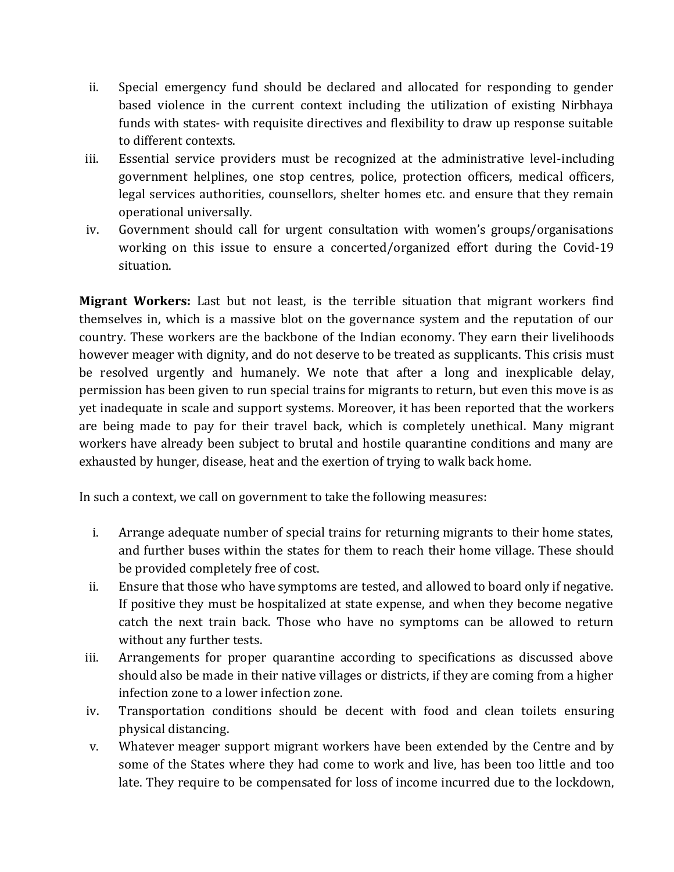- ii. Special emergency fund should be declared and allocated for responding to gender based violence in the current context including the utilization of existing Nirbhaya funds with states- with requisite directives and flexibility to draw up response suitable to different contexts.
- iii. Essential service providers must be recognized at the administrative level-including government helplines, one stop centres, police, protection officers, medical officers, legal services authorities, counsellors, shelter homes etc. and ensure that they remain operational universally.
- iv. Government should call for urgent consultation with women's groups/organisations working on this issue to ensure a concerted/organized effort during the Covid-19 situation.

**Migrant Workers:** Last but not least, is the terrible situation that migrant workers find themselves in, which is a massive blot on the governance system and the reputation of our country. These workers are the backbone of the Indian economy. They earn their livelihoods however meager with dignity, and do not deserve to be treated as supplicants. This crisis must be resolved urgently and humanely. We note that after a long and inexplicable delay, permission has been given to run special trains for migrants to return, but even this move is as yet inadequate in scale and support systems. Moreover, it has been reported that the workers are being made to pay for their travel back, which is completely unethical. Many migrant workers have already been subject to brutal and hostile quarantine conditions and many are exhausted by hunger, disease, heat and the exertion of trying to walk back home.

In such a context, we call on government to take the following measures:

- i. Arrange adequate number of special trains for returning migrants to their home states, and further buses within the states for them to reach their home village. These should be provided completely free of cost.
- ii. Ensure that those who have symptoms are tested, and allowed to board only if negative. If positive they must be hospitalized at state expense, and when they become negative catch the next train back. Those who have no symptoms can be allowed to return without any further tests.
- iii. Arrangements for proper quarantine according to specifications as discussed above should also be made in their native villages or districts, if they are coming from a higher infection zone to a lower infection zone.
- iv. Transportation conditions should be decent with food and clean toilets ensuring physical distancing.
- v. Whatever meager support migrant workers have been extended by the Centre and by some of the States where they had come to work and live, has been too little and too late. They require to be compensated for loss of income incurred due to the lockdown,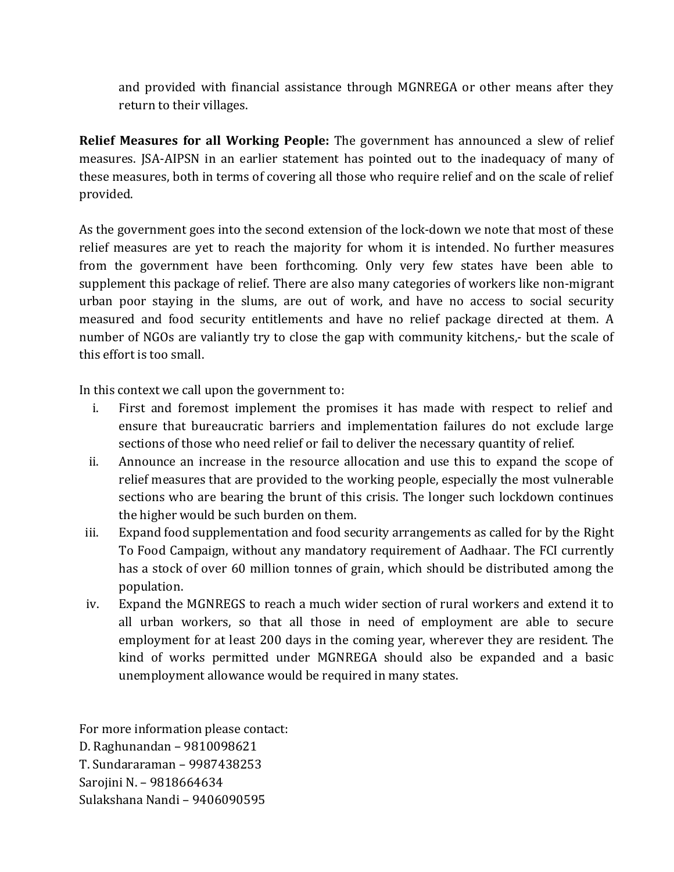and provided with financial assistance through MGNREGA or other means after they return to their villages.

**Relief Measures for all Working People:** The government has announced a slew of relief measures. JSA-AIPSN in an earlier statement has pointed out to the inadequacy of many of these measures, both in terms of covering all those who require relief and on the scale of relief provided.

As the government goes into the second extension of the lock-down we note that most of these relief measures are yet to reach the majority for whom it is intended. No further measures from the government have been forthcoming. Only very few states have been able to supplement this package of relief. There are also many categories of workers like non-migrant urban poor staying in the slums, are out of work, and have no access to social security measured and food security entitlements and have no relief package directed at them. A number of NGOs are valiantly try to close the gap with community kitchens,- but the scale of this effort is too small.

In this context we call upon the government to:

- i. First and foremost implement the promises it has made with respect to relief and ensure that bureaucratic barriers and implementation failures do not exclude large sections of those who need relief or fail to deliver the necessary quantity of relief.
- ii. Announce an increase in the resource allocation and use this to expand the scope of relief measures that are provided to the working people, especially the most vulnerable sections who are bearing the brunt of this crisis. The longer such lockdown continues the higher would be such burden on them.
- iii. Expand food supplementation and food security arrangements as called for by the Right To Food Campaign, without any mandatory requirement of Aadhaar. The FCI currently has a stock of over 60 million tonnes of grain, which should be distributed among the population.
- iv. Expand the MGNREGS to reach a much wider section of rural workers and extend it to all urban workers, so that all those in need of employment are able to secure employment for at least 200 days in the coming year, wherever they are resident. The kind of works permitted under MGNREGA should also be expanded and a basic unemployment allowance would be required in many states.

For more information please contact: D. Raghunandan – 9810098621 T. Sundararaman – 9987438253 Sarojini N. – 9818664634 Sulakshana Nandi – 9406090595